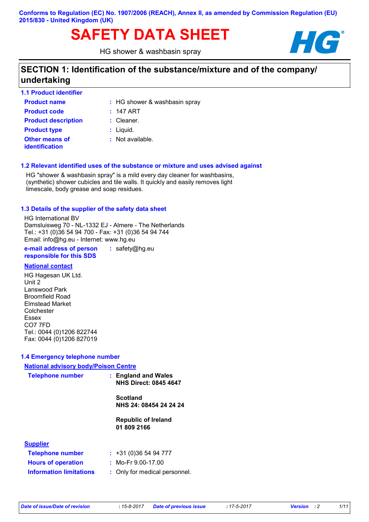# SAFETY DATA SHEET **HG**

HG shower & washbasin spray



## **SECTION 1: Identification of the substance/mixture and of the company/ undertaking**

| <b>1.1 Product identifier</b>                  |                               |
|------------------------------------------------|-------------------------------|
| <b>Product name</b>                            | : HG shower & washbasin spray |
| <b>Product code</b>                            | $: 147$ ART                   |
| <b>Product description</b>                     | $:$ Cleaner.                  |
| <b>Product type</b>                            | $:$ Liquid.                   |
| <b>Other means of</b><br><b>identification</b> | : Not available.              |

#### **1.2 Relevant identified uses of the substance or mixture and uses advised against**

HG "shower & washbasin spray" is a mild every day cleaner for washbasins, (synthetic) shower cubicles and tile walls. It quickly and easily removes light limescale, body grease and soap residues.

#### **1.3 Details of the supplier of the safety data sheet**

HG International BV Damsluisweg 70 - NL-1332 EJ - Almere - The Netherlands Tel.: +31 (0)36 54 94 700 - Fax: +31 (0)36 54 94 744 Email: info@hg.eu - Internet: www.hg.eu

**e-mail address of person responsible for this SDS :** safety@hg.eu

#### **National contact**

HG Hagesan UK Ltd. Unit 2 Lanswood Park Broomfield Road Elmstead Market Colchester Essex CO7 7FD Tel.: 0044 (0)1206 822744 Fax: 0044 (0)1206 827019

#### **1.4 Emergency telephone number**

| <b>National advisory body/Poison Centre</b> |                              |  |
|---------------------------------------------|------------------------------|--|
| <b>Telephone number</b>                     | : England and Wales          |  |
|                                             | <b>NHS Direct: 0845 4647</b> |  |
|                                             | <b>Scotland</b>              |  |
|                                             | NHS 24: 08454 24 24 24       |  |
|                                             | <b>Republic of Ireland</b>   |  |
|                                             | 01 809 2166                  |  |
| <b>Supplier</b>                             |                              |  |
|                                             |                              |  |
| <b>Telephone number</b>                     | : 431(0)365494777            |  |
| <b>Hours of operation</b>                   | : Mo-Fr 9.00-17.00           |  |

| <b>Hours of operation</b> |
|---------------------------|
| Information limitations   |

**Information limitations** : Only for medical personnel.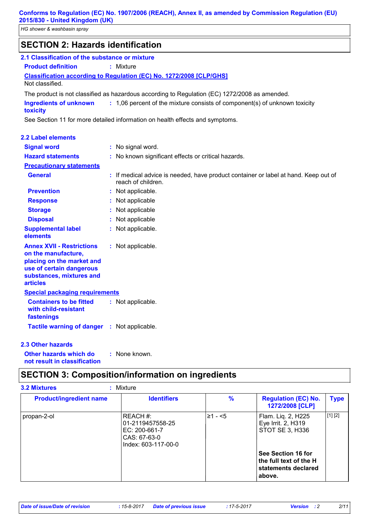*HG shower & washbasin spray*

| <b>SECTION 2: Hazards identification</b> |  |
|------------------------------------------|--|

| 2.1 Classification of the substance or mixture |                                                                            |  |
|------------------------------------------------|----------------------------------------------------------------------------|--|
| <b>Product definition</b>                      | : Mixture                                                                  |  |
| Not classified.                                | <b>Classification according to Regulation (EC) No. 1272/2008 [CLP/GHS]</b> |  |

The product is not classified as hazardous according to Regulation (EC) 1272/2008 as amended.

1,06 percent of the mixture consists of component(s) of unknown toxicity **: Ingredients of unknown toxicity**

See Section 11 for more detailed information on health effects and symptoms.

| <b>2.2 Label elements</b>                                                                                                                                       |                                                                                                           |
|-----------------------------------------------------------------------------------------------------------------------------------------------------------------|-----------------------------------------------------------------------------------------------------------|
| <b>Signal word</b>                                                                                                                                              | : No signal word.                                                                                         |
| <b>Hazard statements</b>                                                                                                                                        | : No known significant effects or critical hazards.                                                       |
| <b>Precautionary statements</b>                                                                                                                                 |                                                                                                           |
| <b>General</b>                                                                                                                                                  | : If medical advice is needed, have product container or label at hand. Keep out of<br>reach of children. |
| <b>Prevention</b>                                                                                                                                               | : Not applicable.                                                                                         |
| <b>Response</b>                                                                                                                                                 | : Not applicable                                                                                          |
| <b>Storage</b>                                                                                                                                                  | : Not applicable                                                                                          |
| <b>Disposal</b>                                                                                                                                                 | : Not applicable                                                                                          |
| <b>Supplemental label</b><br>elements                                                                                                                           | : Not applicable.                                                                                         |
| <b>Annex XVII - Restrictions</b><br>on the manufacture,<br>placing on the market and<br>use of certain dangerous<br>substances, mixtures and<br><b>articles</b> | : Not applicable.                                                                                         |
| <b>Special packaging requirements</b>                                                                                                                           |                                                                                                           |
| <b>Containers to be fitted</b><br>with child-resistant<br>fastenings                                                                                            | : Not applicable.                                                                                         |
| Tactile warning of danger : Not applicable.                                                                                                                     |                                                                                                           |
| <b>2.3 Other hazards</b>                                                                                                                                        |                                                                                                           |
|                                                                                                                                                                 |                                                                                                           |

**Other hazards which do : not result in classification** : None known.

# **SECTION 3: Composition/information on ingredients**

| <b>Product/ingredient name</b> | <b>Identifiers</b>                                                                   | $\frac{9}{6}$ | <b>Regulation (EC) No.</b><br>1272/2008 [CLP]                                 | <b>Type</b> |
|--------------------------------|--------------------------------------------------------------------------------------|---------------|-------------------------------------------------------------------------------|-------------|
| propan-2-ol                    | REACH #:<br>01-2119457558-25<br>EC: 200-661-7<br>CAS: 67-63-0<br>Index: 603-117-00-0 | l≥1 - <5      | Flam. Liq. 2, H225<br>Eye Irrit. 2, H319<br>STOT SE 3, H336                   | [1] [2]     |
|                                |                                                                                      |               | See Section 16 for<br>the full text of the H<br>statements declared<br>above. |             |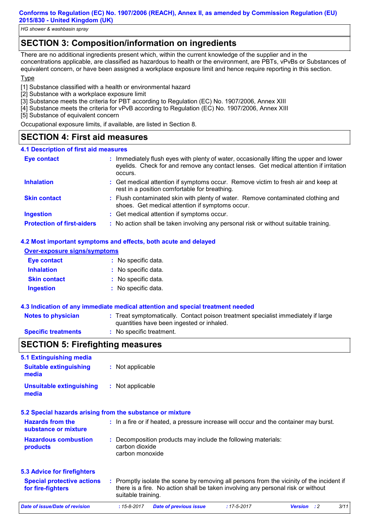*HG shower & washbasin spray*

## **SECTION 3: Composition/information on ingredients**

There are no additional ingredients present which, within the current knowledge of the supplier and in the concentrations applicable, are classified as hazardous to health or the environment, are PBTs, vPvBs or Substances of equivalent concern, or have been assigned a workplace exposure limit and hence require reporting in this section.

### **Type**

[1] Substance classified with a health or environmental hazard

- [2] Substance with a workplace exposure limit
- [3] Substance meets the criteria for PBT according to Regulation (EC) No. 1907/2006, Annex XIII
- [4] Substance meets the criteria for vPvB according to Regulation (EC) No. 1907/2006, Annex XIII
- [5] Substance of equivalent concern

Occupational exposure limits, if available, are listed in Section 8.

## **SECTION 4: First aid measures**

| <b>4.1 Description of first aid measures</b> |                                                                                                                                                                                             |  |
|----------------------------------------------|---------------------------------------------------------------------------------------------------------------------------------------------------------------------------------------------|--|
| <b>Eye contact</b>                           | : Immediately flush eyes with plenty of water, occasionally lifting the upper and lower<br>eyelids. Check for and remove any contact lenses. Get medical attention if irritation<br>occurs. |  |
| <b>Inhalation</b>                            | : Get medical attention if symptoms occur. Remove victim to fresh air and keep at<br>rest in a position comfortable for breathing.                                                          |  |
| <b>Skin contact</b>                          | : Flush contaminated skin with plenty of water. Remove contaminated clothing and<br>shoes. Get medical attention if symptoms occur.                                                         |  |
| <b>Ingestion</b>                             | : Get medical attention if symptoms occur.                                                                                                                                                  |  |
| <b>Protection of first-aiders</b>            | : No action shall be taken involving any personal risk or without suitable training.                                                                                                        |  |

#### **4.2 Most important symptoms and effects, both acute and delayed**

#### **Over-exposure signs/symptoms**

| <b>Eye contact</b>  | : No specific data. |
|---------------------|---------------------|
| <b>Inhalation</b>   | : No specific data. |
| <b>Skin contact</b> | : No specific data. |
| <b>Ingestion</b>    | : No specific data. |

#### **4.3 Indication of any immediate medical attention and special treatment needed**

| <b>Notes to physician</b>  | : Treat symptomatically. Contact poison treatment specialist immediately if large<br>quantities have been ingested or inhaled. |
|----------------------------|--------------------------------------------------------------------------------------------------------------------------------|
| <b>Specific treatments</b> | : No specific treatment.                                                                                                       |

## **SECTION 5: Firefighting measures**

| 5.1 Extinguishing media                                |                                                                                                                                                                                                     |
|--------------------------------------------------------|-----------------------------------------------------------------------------------------------------------------------------------------------------------------------------------------------------|
| <b>Suitable extinguishing</b><br>media                 | : Not applicable                                                                                                                                                                                    |
| <b>Unsuitable extinguishing</b><br>media               | : Not applicable                                                                                                                                                                                    |
|                                                        | 5.2 Special hazards arising from the substance or mixture                                                                                                                                           |
| <b>Hazards from the</b><br>substance or mixture        | : In a fire or if heated, a pressure increase will occur and the container may burst.                                                                                                               |
| <b>Hazardous combustion</b><br>products                | : Decomposition products may include the following materials:<br>carbon dioxide<br>carbon monoxide                                                                                                  |
| <b>5.3 Advice for firefighters</b>                     |                                                                                                                                                                                                     |
| <b>Special protective actions</b><br>for fire-fighters | : Promptly isolate the scene by removing all persons from the vicinity of the incident if<br>there is a fire. No action shall be taken involving any personal risk or without<br>suitable training. |
| <b>Date of issue/Date of revision</b>                  | 3/11<br>$: 15 - 8 - 2017$<br><b>Date of previous issue</b><br>$: 17 - 5 - 2017$<br>$\cdot$ : 2<br><b>Version</b>                                                                                    |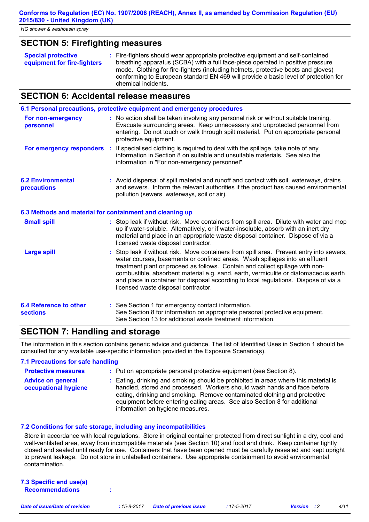*HG shower & washbasin spray*

## **SECTION 5: Firefighting measures**

| <b>Special protective</b><br>equipment for fire-fighters | : Fire-fighters should wear appropriate protective equipment and self-contained<br>breathing apparatus (SCBA) with a full face-piece operated in positive pressure<br>mode. Clothing for fire-fighters (including helmets, protective boots and gloves)<br>conforming to European standard EN 469 will provide a basic level of protection for |
|----------------------------------------------------------|------------------------------------------------------------------------------------------------------------------------------------------------------------------------------------------------------------------------------------------------------------------------------------------------------------------------------------------------|
|                                                          | chemical incidents.                                                                                                                                                                                                                                                                                                                            |

## **SECTION 6: Accidental release measures**

|                                                          | 6.1 Personal precautions, protective equipment and emergency procedures                                                                                                                                                                                                                                                                                                                                                                                                        |  |  |  |
|----------------------------------------------------------|--------------------------------------------------------------------------------------------------------------------------------------------------------------------------------------------------------------------------------------------------------------------------------------------------------------------------------------------------------------------------------------------------------------------------------------------------------------------------------|--|--|--|
| For non-emergency<br>personnel                           | : No action shall be taken involving any personal risk or without suitable training.<br>Evacuate surrounding areas. Keep unnecessary and unprotected personnel from<br>entering. Do not touch or walk through spilt material. Put on appropriate personal<br>protective equipment.                                                                                                                                                                                             |  |  |  |
|                                                          | For emergency responders : If specialised clothing is required to deal with the spillage, take note of any<br>information in Section 8 on suitable and unsuitable materials. See also the<br>information in "For non-emergency personnel".                                                                                                                                                                                                                                     |  |  |  |
| <b>6.2 Environmental</b><br>precautions                  | : Avoid dispersal of spilt material and runoff and contact with soil, waterways, drains<br>and sewers. Inform the relevant authorities if the product has caused environmental<br>pollution (sewers, waterways, soil or air).                                                                                                                                                                                                                                                  |  |  |  |
| 6.3 Methods and material for containment and cleaning up |                                                                                                                                                                                                                                                                                                                                                                                                                                                                                |  |  |  |
| <b>Small spill</b>                                       | : Stop leak if without risk. Move containers from spill area. Dilute with water and mop<br>up if water-soluble. Alternatively, or if water-insoluble, absorb with an inert dry<br>material and place in an appropriate waste disposal container. Dispose of via a<br>licensed waste disposal contractor.                                                                                                                                                                       |  |  |  |
| <b>Large spill</b>                                       | : Stop leak if without risk. Move containers from spill area. Prevent entry into sewers,<br>water courses, basements or confined areas. Wash spillages into an effluent<br>treatment plant or proceed as follows. Contain and collect spillage with non-<br>combustible, absorbent material e.g. sand, earth, vermiculite or diatomaceous earth<br>and place in container for disposal according to local regulations. Dispose of via a<br>licensed waste disposal contractor. |  |  |  |
| <b>6.4 Reference to other</b><br><b>sections</b>         | : See Section 1 for emergency contact information.<br>See Section 8 for information on appropriate personal protective equipment.<br>See Section 13 for additional waste treatment information.                                                                                                                                                                                                                                                                                |  |  |  |

## **SECTION 7: Handling and storage**

The information in this section contains generic advice and guidance. The list of Identified Uses in Section 1 should be consulted for any available use-specific information provided in the Exposure Scenario(s).

#### **7.1 Precautions for safe handling Protective measures : Advice on general occupational hygiene :** Eating, drinking and smoking should be prohibited in areas where this material is : Put on appropriate personal protective equipment (see Section 8). handled, stored and processed. Workers should wash hands and face before eating, drinking and smoking. Remove contaminated clothing and protective equipment before entering eating areas. See also Section 8 for additional information on hygiene measures.

#### **7.2 Conditions for safe storage, including any incompatibilities**

Store in accordance with local regulations. Store in original container protected from direct sunlight in a dry, cool and well-ventilated area, away from incompatible materials (see Section 10) and food and drink. Keep container tightly closed and sealed until ready for use. Containers that have been opened must be carefully resealed and kept upright to prevent leakage. Do not store in unlabelled containers. Use appropriate containment to avoid environmental contamination.

| 7.3 Specific end use(s) |  |
|-------------------------|--|
| <b>Recommendations</b>  |  |

*Date of issue/Date of revision* **:** *15-8-2017 Date of previous issue : 17-5-2017 Version : 2 4/11*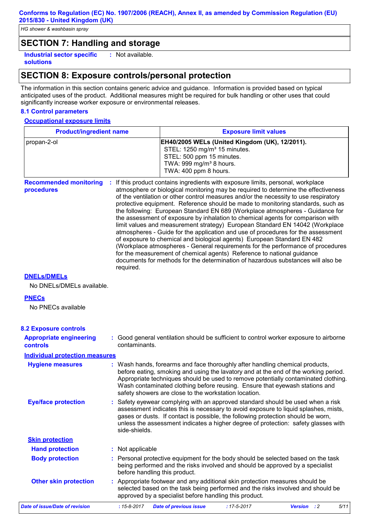*HG shower & washbasin spray*

## **SECTION 7: Handling and storage**

**Industrial sector specific : solutions** : Not available.

## **SECTION 8: Exposure controls/personal protection**

The information in this section contains generic advice and guidance. Information is provided based on typical anticipated uses of the product. Additional measures might be required for bulk handling or other uses that could significantly increase worker exposure or environmental releases.

#### **8.1 Control parameters**

#### **Occupational exposure limits**

| <b>Product/ingredient name</b><br>propan-2-ol |  | <b>Exposure limit values</b>                                                                                                                                                                                                                                                                                                                                                                                                     |  |  |
|-----------------------------------------------|--|----------------------------------------------------------------------------------------------------------------------------------------------------------------------------------------------------------------------------------------------------------------------------------------------------------------------------------------------------------------------------------------------------------------------------------|--|--|
|                                               |  | EH40/2005 WELs (United Kingdom (UK), 12/2011).<br>STEL: 1250 mg/m <sup>3</sup> 15 minutes.<br>STEL: 500 ppm 15 minutes.<br>TWA: 999 mg/m <sup>3</sup> 8 hours.<br>TWA: 400 ppm 8 hours.                                                                                                                                                                                                                                          |  |  |
| <b>Recommended monitoring</b><br>procedures   |  | If this product contains ingredients with exposure limits, personal, workplace<br>atmosphere or biological monitoring may be required to determine the effectiveness<br>of the ventilation or other control measures and/or the necessity to use respiratory<br>protective equipment. Reference should be made to monitoring standards, such as<br>the following: European Standard EN 689 (Workplace atmospheres - Guidance for |  |  |

tollowing: European Standard EN 689 (Workplace atmosphere the assessment of exposure by inhalation to chemical agents for comparison with limit values and measurement strategy) European Standard EN 14042 (Workplace atmospheres - Guide for the application and use of procedures for the assessment of exposure to chemical and biological agents) European Standard EN 482 (Workplace atmospheres - General requirements for the performance of procedures for the measurement of chemical agents) Reference to national guidance documents for methods for the determination of hazardous substances will also be required.

#### **DNELs/DMELs**

No DNELs/DMELs available.

#### **PNECs**

No PNECs available

#### **8.2 Exposure controls**

| <b>Appropriate engineering</b> | : Good general ventilation should be sufficient to control worker exposure to airborne |
|--------------------------------|----------------------------------------------------------------------------------------|
| controls                       | contaminants.                                                                          |
| Individual protection measures |                                                                                        |

| <b>Hygiene measures</b>    | : Wash hands, forearms and face thoroughly after handling chemical products,<br>before eating, smoking and using the lavatory and at the end of the working period.<br>Appropriate techniques should be used to remove potentially contaminated clothing.<br>Wash contaminated clothing before reusing. Ensure that eyewash stations and<br>safety showers are close to the workstation location. |
|----------------------------|---------------------------------------------------------------------------------------------------------------------------------------------------------------------------------------------------------------------------------------------------------------------------------------------------------------------------------------------------------------------------------------------------|
| <b>Eye/face protection</b> | : Safety eyewear complying with an approved standard should be used when a risk<br>assessment indicates this is necessary to avoid exposure to liquid splashes, mists,<br>gases or dusts. If contact is possible, the following protection should be worn,<br>unless the assessment indicates a higher degree of protection: safety glasses with<br>side-shields.                                 |
| <b>Skin protection</b>     |                                                                                                                                                                                                                                                                                                                                                                                                   |
| <b>Hand protection</b>     | : Not applicable                                                                                                                                                                                                                                                                                                                                                                                  |
| <b>Body protection</b>     | : Personal protective equipment for the body should be selected based on the task                                                                                                                                                                                                                                                                                                                 |

|                              | being performed and the risks involved and should be approved by a specialist<br>before handling this product.                                                  |  |
|------------------------------|-----------------------------------------------------------------------------------------------------------------------------------------------------------------|--|
| <b>Other skin protection</b> | : Appropriate footwear and any additional skin protection measures should be<br>selected based on the task being performed and the risks involved and should be |  |

approved by a specialist before handling this product.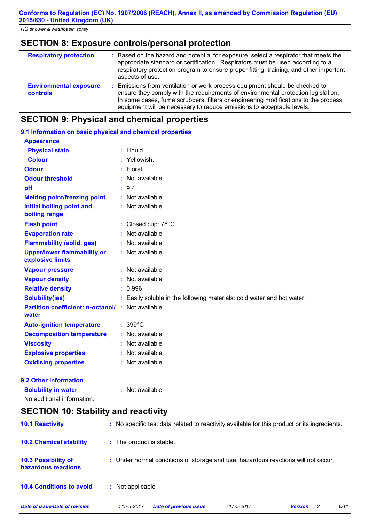# **SECTION 8: Exposure controls/personal protection**

| <b>Respiratory protection</b>             | Based on the hazard and potential for exposure, select a respirator that meets the<br>appropriate standard or certification. Respirators must be used according to a<br>respiratory protection program to ensure proper fitting, training, and other important<br>aspects of use.                                             |
|-------------------------------------------|-------------------------------------------------------------------------------------------------------------------------------------------------------------------------------------------------------------------------------------------------------------------------------------------------------------------------------|
| <b>Environmental exposure</b><br>controls | Emissions from ventilation or work process equipment should be checked to<br>ensure they comply with the requirements of environmental protection legislation.<br>In some cases, fume scrubbers, filters or engineering modifications to the process<br>equipment will be necessary to reduce emissions to acceptable levels. |

# **SECTION 9: Physical and chemical properties**

| 9.1 Information on basic physical and chemical properties         |                                                                        |
|-------------------------------------------------------------------|------------------------------------------------------------------------|
| <b>Appearance</b>                                                 |                                                                        |
| <b>Physical state</b>                                             | : Liquid.                                                              |
| <b>Colour</b>                                                     | : Yellowish.                                                           |
| <b>Odour</b>                                                      | : Floral.                                                              |
| <b>Odour threshold</b>                                            | : Not available.                                                       |
| pH                                                                | : 9,4                                                                  |
| <b>Melting point/freezing point</b>                               | : Not available.                                                       |
| <b>Initial boiling point and</b><br>boiling range                 | : Not available.                                                       |
| <b>Flash point</b>                                                | : Closed cup: 78°C                                                     |
| <b>Evaporation rate</b>                                           | : Not available.                                                       |
| <b>Flammability (solid, gas)</b>                                  | : Not available.                                                       |
| <b>Upper/lower flammability or</b><br>explosive limits            | : Not available.                                                       |
| <b>Vapour pressure</b>                                            | : Not available.                                                       |
| <b>Vapour density</b>                                             | : Not available.                                                       |
| <b>Relative density</b>                                           | : 0,996                                                                |
| <b>Solubility(ies)</b>                                            | : Easily soluble in the following materials: cold water and hot water. |
| <b>Partition coefficient: n-octanol/: Not available.</b><br>water |                                                                        |
| <b>Auto-ignition temperature</b>                                  | $: 399^{\circ}$ C                                                      |
| <b>Decomposition temperature</b>                                  | : Not available.                                                       |
| <b>Viscosity</b>                                                  | : Not available.                                                       |
| <b>Explosive properties</b>                                       | : Not available.                                                       |
| <b>Oxidising properties</b>                                       | : Not available.                                                       |
| 9.2 Other information                                             |                                                                        |
| <b>Solubility in water</b>                                        | : Not available.                                                       |

No additional information.

## **SECTION 10: Stability and reactivity**

| <b>10.1 Reactivity</b>                     | : No specific test data related to reactivity available for this product or its ingredients. |      |
|--------------------------------------------|----------------------------------------------------------------------------------------------|------|
| <b>10.2 Chemical stability</b>             | : The product is stable.                                                                     |      |
| 10.3 Possibility of<br>hazardous reactions | : Under normal conditions of storage and use, hazardous reactions will not occur.            |      |
| <b>10.4 Conditions to avoid</b>            | Not applicable                                                                               |      |
| Date of issue/Date of revision             | <b>Date of previous issue</b><br><b>Version</b> : 2<br>$: 15 - 8 - 2017$<br>$:17 - 5 - 2017$ | 6/11 |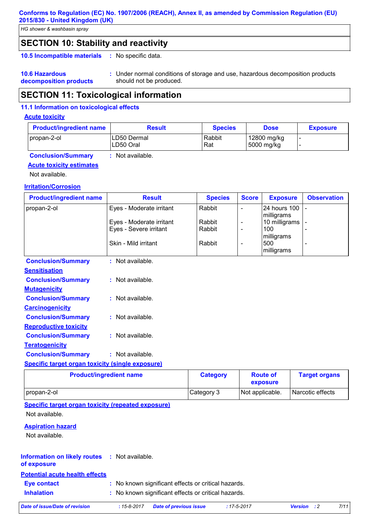*HG shower & washbasin spray*

## **SECTION 10: Stability and reactivity**

**10.5 Incompatible materials : No specific data.** 

**10.6 Hazardous decomposition products** **:** Under normal conditions of storage and use, hazardous decomposition products should not be produced.

## **SECTION 11: Toxicological information**

#### **11.1 Information on toxicological effects**

#### **Acute toxicity**

| <b>Product/ingredient name</b> | <b>Result</b>              | <b>Species</b> | <b>Dose</b>               | <b>Exposure</b> |
|--------------------------------|----------------------------|----------------|---------------------------|-----------------|
| propan-2-ol                    | ILD50 Dermal<br>ILD50 Oral | Rabbit<br>Rat  | 12800 mg/kg<br>5000 mg/kg | $\sim$          |

#### **Conclusion/Summary :** Not available.

## **Acute toxicity estimates**

Not available.

#### **Irritation/Corrosion**

| <b>Product/ingredient name</b>                          | <b>Result</b>            | <b>Species</b> | <b>Score</b>             | <b>Exposure</b>   | <b>Observation</b> |
|---------------------------------------------------------|--------------------------|----------------|--------------------------|-------------------|--------------------|
| propan-2-ol                                             | Eyes - Moderate irritant | Rabbit         |                          | 24 hours 100      |                    |
|                                                         |                          |                |                          | milligrams        |                    |
|                                                         | Eyes - Moderate irritant | Rabbit         | $\overline{\phantom{a}}$ | 10 milligrams     |                    |
|                                                         | Eyes - Severe irritant   | Rabbit         | $\overline{\phantom{a}}$ | 100<br>milligrams |                    |
|                                                         | Skin - Mild irritant     | Rabbit         | $\overline{\phantom{a}}$ | 500               |                    |
|                                                         |                          |                |                          | milligrams        |                    |
| <b>Conclusion/Summary</b>                               | : Not available.         |                |                          |                   |                    |
| <b>Sensitisation</b>                                    |                          |                |                          |                   |                    |
| <b>Conclusion/Summary</b>                               | $:$ Not available.       |                |                          |                   |                    |
| <b>Mutagenicity</b>                                     |                          |                |                          |                   |                    |
| <b>Conclusion/Summary</b>                               | : Not available.         |                |                          |                   |                    |
| <b>Carcinogenicity</b>                                  |                          |                |                          |                   |                    |
| <b>Conclusion/Summary</b>                               | $:$ Not available.       |                |                          |                   |                    |
| <b>Reproductive toxicity</b>                            |                          |                |                          |                   |                    |
| <b>Conclusion/Summary</b>                               | : Not available.         |                |                          |                   |                    |
| <b>Teratogenicity</b>                                   |                          |                |                          |                   |                    |
| <b>Conclusion/Summary</b>                               | : Not available.         |                |                          |                   |                    |
| <b>Specific target organ toxicity (single exposure)</b> |                          |                |                          |                   |                    |

| <b>Product/ingredient name</b> | <b>Category</b> | <b>Route of</b><br>exposure | <b>Target organs</b> |
|--------------------------------|-----------------|-----------------------------|----------------------|
| propan-2-ol                    | Category 3      | Not applicable.             | Narcotic effects     |

**Specific target organ toxicity (repeated exposure)**

Not available.

#### **Aspiration hazard**

Not available.

## **Information on likely routes : Not available.**

**of exposure**

**Potential acute health effects**

| Eye contact       | : No known significant effects or critical hazards. |
|-------------------|-----------------------------------------------------|
| <b>Inhalation</b> | : No known significant effects or critical hazards. |

*Date of issue/Date of revision* **:** *15-8-2017 Date of previous issue : 17-5-2017 Version : 2 7/11*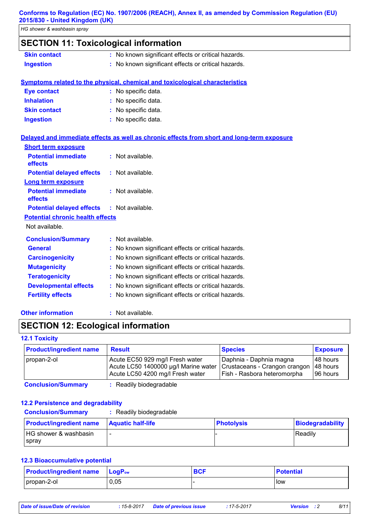## **SECTION 11: Toxicological information**

- **Skin contact :** No known significant effects or critical hazards.
- **Ingestion :** No known significant effects or critical hazards.
	-

### **Symptoms related to the physical, chemical and toxicological characteristics**

| <b>Eye contact</b>  | : No specific data. |
|---------------------|---------------------|
| <b>Inhalation</b>   | : No specific data. |
| <b>Skin contact</b> | : No specific data. |
| <b>Ingestion</b>    | : No specific data. |

#### **Delayed and immediate effects as well as chronic effects from short and long-term exposure**

| <b>Short term exposure</b>                        |                                                     |
|---------------------------------------------------|-----------------------------------------------------|
| <b>Potential immediate</b><br>effects             | : Not available.                                    |
| <b>Potential delayed effects</b>                  | $:$ Not available.                                  |
| <b>Long term exposure</b>                         |                                                     |
| <b>Potential immediate</b><br>effects             | : Not available.                                    |
| <b>Potential delayed effects : Not available.</b> |                                                     |
| <b>Potential chronic health effects</b>           |                                                     |
| Not available.                                    |                                                     |
| <b>Conclusion/Summary</b>                         | : Not available.                                    |
| <b>General</b>                                    | : No known significant effects or critical hazards. |
| <b>Carcinogenicity</b>                            | No known significant effects or critical hazards.   |
| <b>Mutagenicity</b>                               | No known significant effects or critical hazards.   |
| <b>Teratogenicity</b>                             | No known significant effects or critical hazards.   |
| <b>Developmental effects</b>                      | No known significant effects or critical hazards.   |
| <b>Fertility effects</b>                          | : No known significant effects or critical hazards. |

## **Other information :**

: Not available.

## **SECTION 12: Ecological information**

#### **12.1 Toxicity**

| <b>Product/ingredient name</b> | <b>Result</b>                                                                                               | <b>Species</b>                                                                          | <b>Exposure</b>                    |
|--------------------------------|-------------------------------------------------------------------------------------------------------------|-----------------------------------------------------------------------------------------|------------------------------------|
| propan-2-ol                    | Acute EC50 929 mg/l Fresh water<br>Acute LC50 1400000 µg/l Marine water<br>Acute LC50 4200 mg/l Fresh water | Daphnia - Daphnia magna<br>Crustaceans - Crangon crangon<br>Fish - Rasbora heteromorpha | 148 hours<br>48 hours<br>196 hours |
| <b>Conclusion/Summary</b>      | Readily biodegradable                                                                                       |                                                                                         |                                    |

#### **12.2 Persistence and degradability**

| <b>Conclusion/Summary</b>      | : Readily biodegradable  |                   |                  |
|--------------------------------|--------------------------|-------------------|------------------|
| <b>Product/ingredient name</b> | <b>Aquatic half-life</b> | <b>Photolysis</b> | Biodegradability |
| HG shower & washbasin          |                          |                   | <b>Readily</b>   |
| <b>Spray</b>                   |                          |                   |                  |

#### **12.3 Bioaccumulative potential**

| <b>Product/ingredient name</b> LogP <sub>ow</sub> |      | <b>BCF</b> | <b>Potential</b> |
|---------------------------------------------------|------|------------|------------------|
| propan-2-ol                                       | 0,05 |            | low              |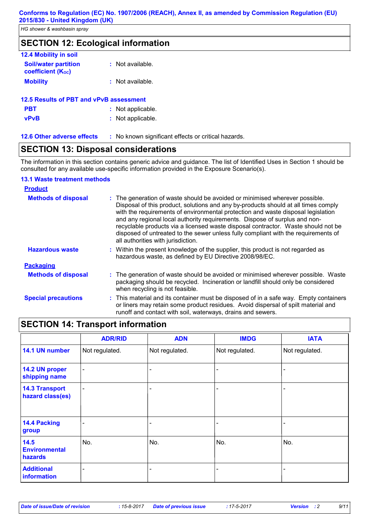## **SECTION 12: Ecological information**

| 12.4 Mobility in soil                                   |                  |
|---------------------------------------------------------|------------------|
| <b>Soil/water partition</b><br><b>coefficient (Koc)</b> | : Not available. |
| <b>Mobility</b>                                         | : Not available. |

| 12.5 Results of PBT and vPvB assessment |                   |  |
|-----------------------------------------|-------------------|--|
| <b>PBT</b>                              | : Not applicable. |  |
| <b>vPvB</b>                             | : Not applicable. |  |

**12.6 Other adverse effects** : No known significant effects or critical hazards.

## **SECTION 13: Disposal considerations**

The information in this section contains generic advice and guidance. The list of Identified Uses in Section 1 should be consulted for any available use-specific information provided in the Exposure Scenario(s).

#### **13.1 Waste treatment methods**

#### Within the present knowledge of the supplier, this product is not regarded as hazardous waste, as defined by EU Directive 2008/98/EC. **Hazardous waste : Methods of disposal : Product Packaging Methods of disposal : Special precautions :** The generation of waste should be avoided or minimised wherever possible. Waste packaging should be recycled. Incineration or landfill should only be considered when recycling is not feasible. This material and its container must be disposed of in a safe way. Empty containers or liners may retain some product residues. Avoid dispersal of spilt material and runoff and contact with soil, waterways, drains and sewers. The generation of waste should be avoided or minimised wherever possible. Disposal of this product, solutions and any by-products should at all times comply with the requirements of environmental protection and waste disposal legislation and any regional local authority requirements. Dispose of surplus and nonrecyclable products via a licensed waste disposal contractor. Waste should not be disposed of untreated to the sewer unless fully compliant with the requirements of all authorities with jurisdiction.

## **SECTION 14: Transport information**

|                                           | <b>ADR/RID</b> | <b>ADN</b>     | <b>IMDG</b>    | <b>IATA</b>    |
|-------------------------------------------|----------------|----------------|----------------|----------------|
| 14.1 UN number                            | Not regulated. | Not regulated. | Not regulated. | Not regulated. |
| 14.2 UN proper<br>shipping name           | ٠              |                |                |                |
| <b>14.3 Transport</b><br>hazard class(es) |                |                |                |                |
| 14.4 Packing<br>group                     |                |                |                |                |
| 14.5<br><b>Environmental</b><br>hazards   | No.            | No.            | No.            | No.            |
| <b>Additional</b><br>information          |                |                |                |                |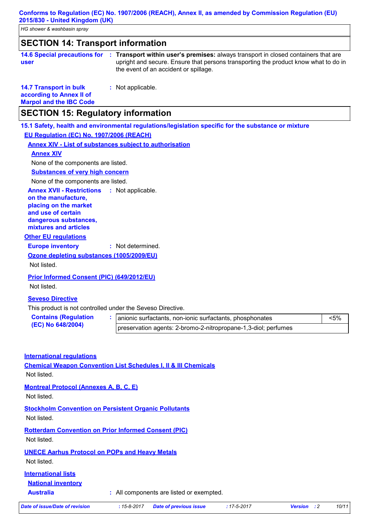*HG shower & washbasin spray*

## **SECTION 14: Transport information**

- **14.6 Special precautions for user Transport within user's premises:** always transport in closed containers that are **:** upright and secure. Ensure that persons transporting the product know what to do in the event of an accident or spillage.
- **14.7 Transport in bulk according to Annex II of**
- **:** Not applicable.

**Marpol and the IBC Code**

## **SECTION 15: Regulatory information**

**15.1 Safety, health and environmental regulations/legislation specific for the substance or mixture**

**EU Regulation (EC) No. 1907/2006 (REACH)**

**Annex XIV - List of substances subject to authorisation**

#### **Annex XIV**

None of the components are listed.

**Substances of very high concern**

None of the components are listed.

#### **Annex XVII - Restrictions** : Not applicable.

**on the manufacture, placing on the market and use of certain dangerous substances,**

**mixtures and articles**

#### **Other EU regulations**

**Europe inventory :** Not determined.

**Ozone depleting substances (1005/2009/EU)**

Not listed.

**Prior Informed Consent (PIC) (649/2012/EU)**

Not listed.

#### **Seveso Directive**

This product is not controlled under the Seveso Directive.

**Contains (Regulation (EC) No 648/2004)**

**:** anionic surfactants, non-ionic surfactants, phosphonates <5% preservation agents: 2-bromo-2-nitropropane-1,3-diol; perfumes

#### **International regulations**

**Chemical Weapon Convention List Schedules I, II & III Chemicals** Not listed.

**Montreal Protocol (Annexes A, B, C, E)**

Not listed.

**Stockholm Convention on Persistent Organic Pollutants**

Not listed.

**Rotterdam Convention on Prior Informed Consent (PIC)** Not listed.

## **UNECE Aarhus Protocol on POPs and Heavy Metals**

Not listed.

## **International lists National inventory**

**Australia :** All components are listed or exempted.

*Date of issue/Date of revision* **:** *15-8-2017 Date of previous issue : 17-5-2017 Version : 2 10/11*